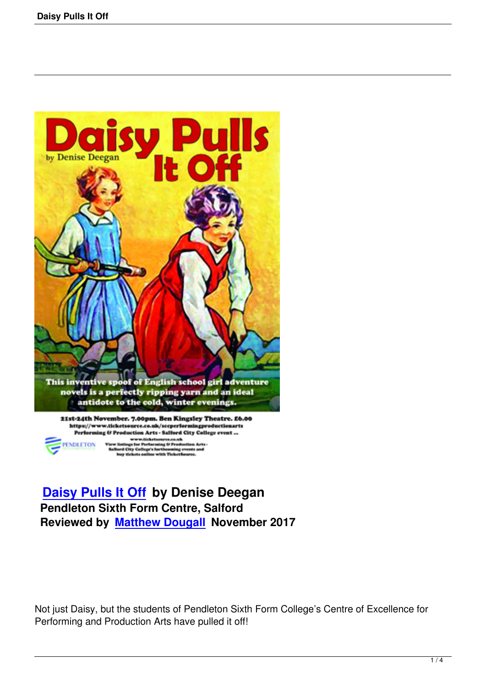

r Peet City C pa'a E

**Daisy Pulls It Off by Denise Deegan Pendleton Sixth Form Centre, Salford [Reviewed by Matthe](daisy-pulls-it-off.html)w Dougall November 2017**

Not just Daisy, but the students of Pendleton Sixth Form College's Centre of Excellence for Performing and Production Arts have pulled it off!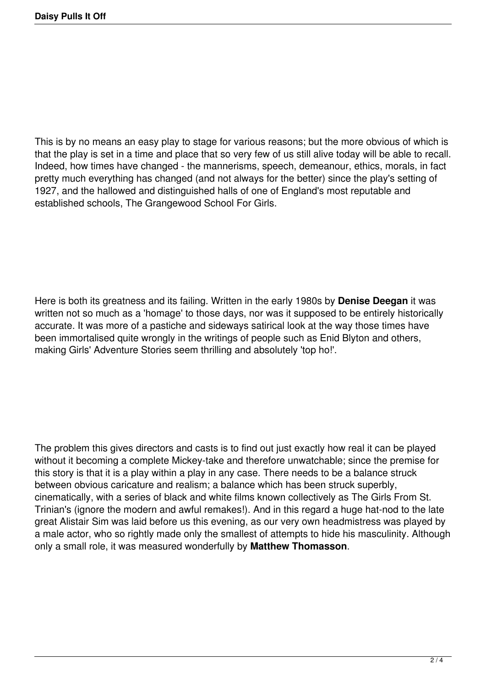This is by no means an easy play to stage for various reasons; but the more obvious of which is that the play is set in a time and place that so very few of us still alive today will be able to recall. Indeed, how times have changed - the mannerisms, speech, demeanour, ethics, morals, in fact pretty much everything has changed (and not always for the better) since the play's setting of 1927, and the hallowed and distinguished halls of one of England's most reputable and established schools, The Grangewood School For Girls.

Here is both its greatness and its failing. Written in the early 1980s by **Denise Deegan** it was written not so much as a 'homage' to those days, nor was it supposed to be entirely historically accurate. It was more of a pastiche and sideways satirical look at the way those times have been immortalised quite wrongly in the writings of people such as Enid Blyton and others, making Girls' Adventure Stories seem thrilling and absolutely 'top ho!'.

The problem this gives directors and casts is to find out just exactly how real it can be played without it becoming a complete Mickey-take and therefore unwatchable; since the premise for this story is that it is a play within a play in any case. There needs to be a balance struck between obvious caricature and realism; a balance which has been struck superbly, cinematically, with a series of black and white films known collectively as The Girls From St. Trinian's (ignore the modern and awful remakes!). And in this regard a huge hat-nod to the late great Alistair Sim was laid before us this evening, as our very own headmistress was played by a male actor, who so rightly made only the smallest of attempts to hide his masculinity. Although only a small role, it was measured wonderfully by **Matthew Thomasson**.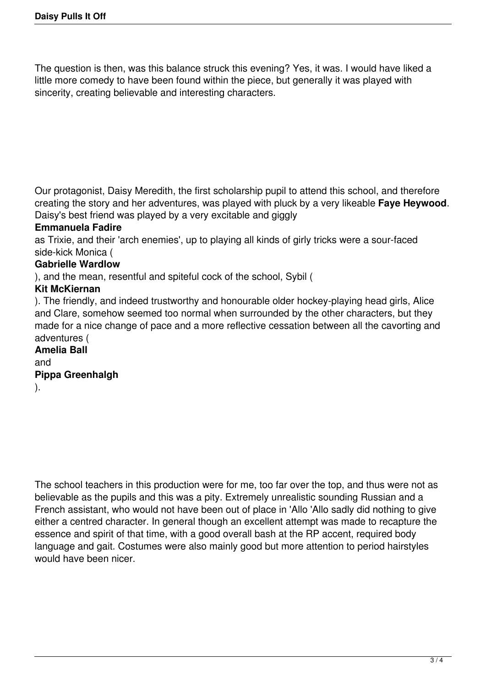The question is then, was this balance struck this evening? Yes, it was. I would have liked a little more comedy to have been found within the piece, but generally it was played with sincerity, creating believable and interesting characters.

Our protagonist, Daisy Meredith, the first scholarship pupil to attend this school, and therefore creating the story and her adventures, was played with pluck by a very likeable **Faye Heywood**. Daisy's best friend was played by a very excitable and giggly

#### **Emmanuela Fadire**

as Trixie, and their 'arch enemies', up to playing all kinds of girly tricks were a sour-faced side-kick Monica (

## **Gabrielle Wardlow**

), and the mean, resentful and spiteful cock of the school, Sybil (

#### **Kit McKiernan**

). The friendly, and indeed trustworthy and honourable older hockey-playing head girls, Alice and Clare, somehow seemed too normal when surrounded by the other characters, but they made for a nice change of pace and a more reflective cessation between all the cavorting and adventures (

# **Amelia Ball**

and

### **Pippa Greenhalgh**

).

The school teachers in this production were for me, too far over the top, and thus were not as believable as the pupils and this was a pity. Extremely unrealistic sounding Russian and a French assistant, who would not have been out of place in 'Allo 'Allo sadly did nothing to give either a centred character. In general though an excellent attempt was made to recapture the essence and spirit of that time, with a good overall bash at the RP accent, required body language and gait. Costumes were also mainly good but more attention to period hairstyles would have been nicer.